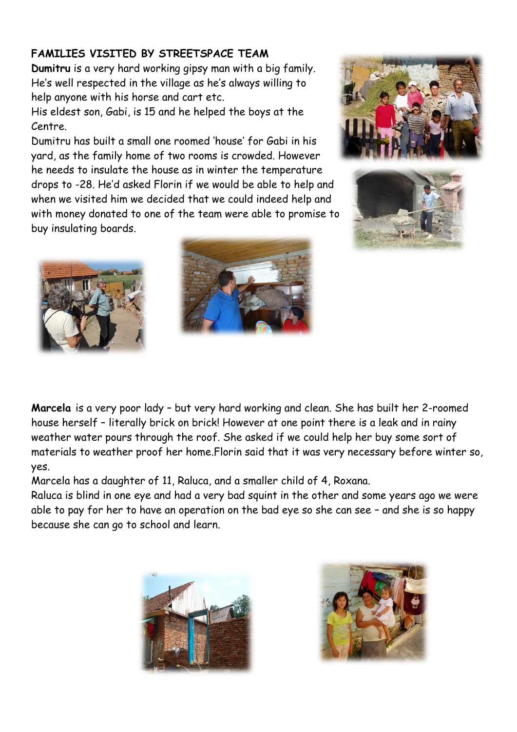## **FAMILIES VISITED BY STREETSPACE TEAM**

**Dumitru** is a very hard working gipsy man with a big family. He's well respected in the village as he's always willing to help anyone with his horse and cart etc.

His eldest son, Gabi, is 15 and he helped the boys at the Centre.

Dumitru has built a small one roomed 'house' for Gabi in his yard, as the family home of two rooms is crowded. However he needs to insulate the house as in winter the temperature drops to -28. He'd asked Florin if we would be able to help and when we visited him we decided that we could indeed help and with money donated to one of the team were able to promise to buy insulating boards.









**Marcela** is a very poor lady – but very hard working and clean. She has built her 2-roomed house herself – literally brick on brick! However at one point there is a leak and in rainy weather water pours through the roof. She asked if we could help her buy some sort of materials to weather proof her home.Florin said that it was very necessary before winter so, yes.

Marcela has a daughter of 11, Raluca, and a smaller child of 4, Roxana.

Raluca is blind in one eye and had a very bad squint in the other and some years ago we were able to pay for her to have an operation on the bad eye so she can see – and she is so happy because she can go to school and learn.